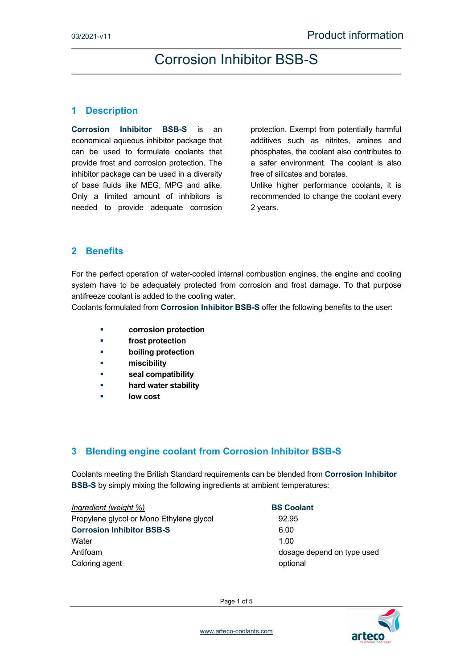#### **1 Description**

**Corrosion Inhibitor BSB-S** is an economical aqueous inhibitor package that can be used to formulate coolants that provide frost and corrosion protection. The inhibitor package can be used in a diversity of base fluids like MEG, MPG and alike. Only a limited amount of inhibitors is needed to provide adequate corrosion protection. Exempt from potentially harmful additives such as nitrites, amines and phosphates, the coolant also contributes to a safer environment. The coolant is also free of silicates and borates.

Unlike higher performance coolants, it is recommended to change the coolant every 2 years.

#### **2 Benefits**

For the perfect operation of water-cooled internal combustion engines, the engine and cooling system have to be adequately protected from corrosion and frost damage. To that purpose antifreeze coolant is added to the cooling water.

Coolants formulated from **Corrosion Inhibitor BSB-S** offer the following benefits to the user:

- **corrosion protection**
- **frost protection**
- **boiling protection**
- **miscibility**
- **seal compatibility**
- **hard water stability**
- **low cost**

#### **3 Blending engine coolant from Corrosion Inhibitor BSB-S**

Coolants meeting the British Standard requirements can be blended from **Corrosion Inhibitor BSB-S** by simply mixing the following ingredients at ambient temperatures:

*Ingredient (weight %)* **BS Coolant** Propylene glycol or Mono Ethylene glycol 92.95 **Corrosion Inhibitor BSB-S** 6.00 Water 1.00 Antifoam dosage depend on type used Coloring agent **optional** 

Page 1 of 5



www.arteco-coolants.com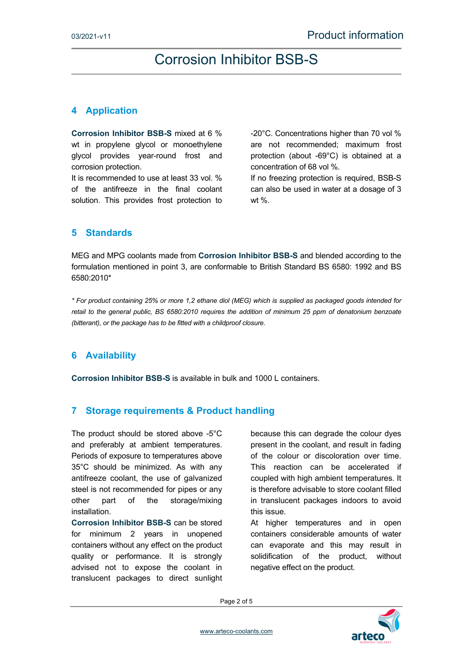#### **4 Application**

**Corrosion Inhibitor BSB-S** mixed at 6 % wt in propylene glycol or monoethylene glycol provides year-round frost and corrosion protection.

It is recommended to use at least 33 vol. % of the antifreeze in the final coolant solution. This provides frost protection to

-20°C. Concentrations higher than 70 vol % are not recommended; maximum frost protection (about -69°C) is obtained at a concentration of 68 vol %.

If no freezing protection is required, BSB-S can also be used in water at a dosage of 3 wt %.

#### **5 Standards**

MEG and MPG coolants made from **Corrosion Inhibitor BSB-S** and blended according to the formulation mentioned in point 3, are conformable to British Standard BS 6580: 1992 and BS 6580:2010\*

*\* For product containing 25% or more 1,2 ethane diol (MEG) which is supplied as packaged goods intended for retail to the general public, BS 6580:2010 requires the addition of minimum 25 ppm of denatonium benzoate (bitterant), or the package has to be fitted with a childproof closure.* 

#### **6 Availability**

**Corrosion Inhibitor BSB-S** is available in bulk and 1000 L containers.

#### **7 Storage requirements & Product handling**

The product should be stored above -5°C and preferably at ambient temperatures. Periods of exposure to temperatures above 35°C should be minimized. As with any antifreeze coolant, the use of galvanized steel is not recommended for pipes or any other part of the storage/mixing installation.

**Corrosion Inhibitor BSB-S** can be stored for minimum 2 years in unopened containers without any effect on the product quality or performance. It is strongly advised not to expose the coolant in translucent packages to direct sunlight because this can degrade the colour dyes present in the coolant, and result in fading of the colour or discoloration over time. This reaction can be accelerated if coupled with high ambient temperatures. It is therefore advisable to store coolant filled in translucent packages indoors to avoid this issue.

At higher temperatures and in open containers considerable amounts of water can evaporate and this may result in solidification of the product, without negative effect on the product.

Page 2 of 5

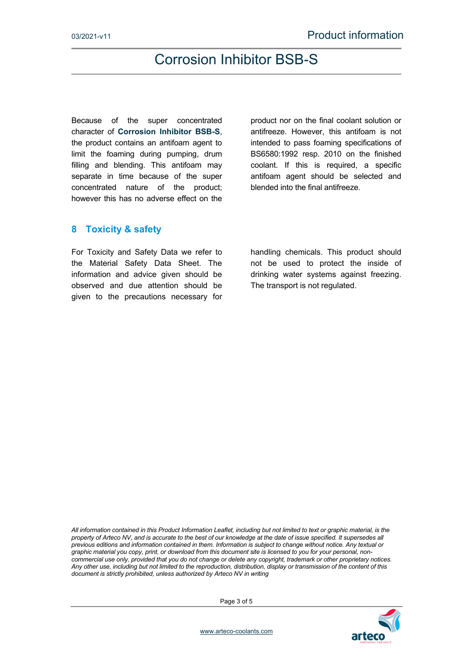Because of the super concentrated character of **Corrosion Inhibitor BSB-S**, the product contains an antifoam agent to limit the foaming during pumping, drum filling and blending. This antifoam may separate in time because of the super concentrated nature of the product; however this has no adverse effect on the

product nor on the final coolant solution or antifreeze. However, this antifoam is not intended to pass foaming specifications of BS6580:1992 resp. 2010 on the finished coolant. If this is required, a specific antifoam agent should be selected and blended into the final antifreeze.

#### **8 Toxicity & safety**

For Toxicity and Safety Data we refer to the Material Safety Data Sheet. The information and advice given should be observed and due attention should be given to the precautions necessary for handling chemicals. This product should not be used to protect the inside of drinking water systems against freezing. The transport is not regulated.

*All information contained in this Product Information Leaflet, including but not limited to text or graphic material, is the property of Arteco NV, and is accurate to the best of our knowledge at the date of issue specified. It supersedes all previous editions and information contained in them. Information is subject to change without notice. Any textual or graphic material you copy, print, or download from this document site is licensed to you for your personal, noncommercial use only, provided that you do not change or delete any copyright, trademark or other proprietary notices. Any other use, including but not limited to the reproduction, distribution, display or transmission of the content of this document is strictly prohibited, unless authorized by Arteco NV in writing* 



Page 3 of 5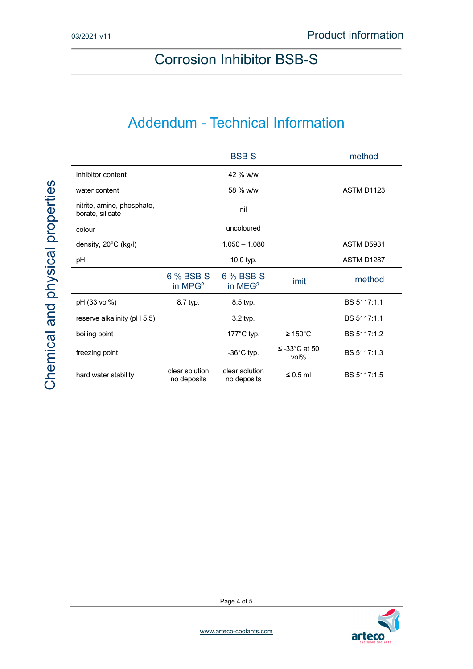# Addendum - Technical Information

|                                                | <b>BSB-S</b>                     |                                  |                                  | method      |  |
|------------------------------------------------|----------------------------------|----------------------------------|----------------------------------|-------------|--|
| inhibitor content                              |                                  | 42 % w/w                         |                                  |             |  |
| water content                                  | 58 % w/w                         |                                  |                                  | ASTM D1123  |  |
| nitrite, amine, phosphate,<br>borate, silicate |                                  |                                  |                                  |             |  |
| colour                                         | uncoloured                       |                                  |                                  |             |  |
| density, 20°C (kg/l)                           | $1.050 - 1.080$<br>ASTM D5931    |                                  |                                  |             |  |
| рH                                             | 10.0 typ.                        |                                  |                                  | ASTM D1287  |  |
|                                                | 6 % BSB-S<br>in MPG <sup>2</sup> | 6 % BSB-S<br>in MEG <sup>2</sup> | limit                            | method      |  |
| pH (33 vol%)                                   | 8.7 typ.                         | 8.5 typ.                         |                                  | BS 5117:1.1 |  |
| reserve alkalinity (pH 5.5)                    |                                  | 3.2 typ.                         |                                  | BS 5117:1.1 |  |
| boiling point                                  |                                  | 177 $\degree$ C typ.             | $\geq 150^{\circ}$ C             | BS 5117:1.2 |  |
| freezing point                                 |                                  | -36°C typ.                       | ≤ -33 $^{\circ}$ C at 50<br>vol% | BS 5117:1.3 |  |
| hard water stability                           | clear solution<br>no deposits    | clear solution<br>no deposits    | $\leq 0.5$ ml                    | BS 5117:1.5 |  |



www.arteco-coolants.com